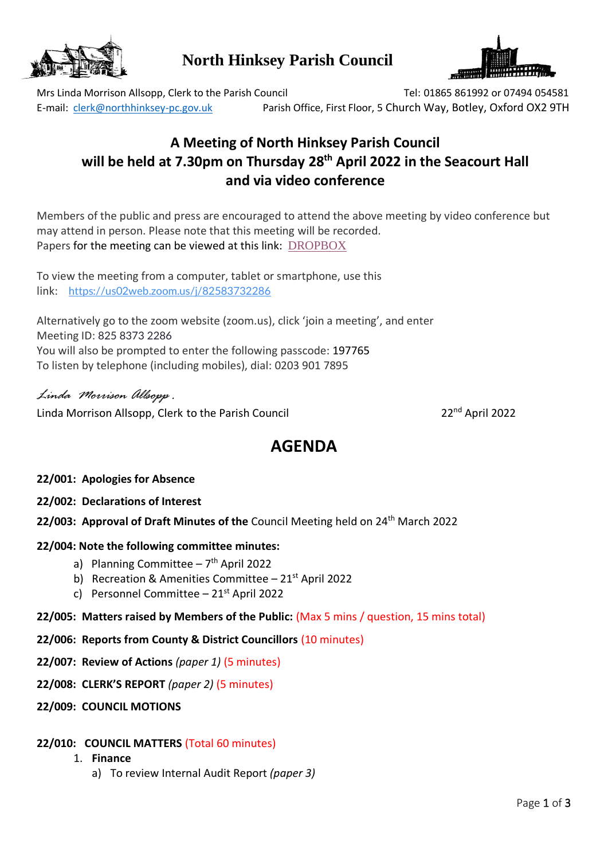

# **North Hinksey Parish Council**



Mrs Linda Morrison Allsopp, Clerk to the Parish Council Tel: 01865 861992 or 07494 054581 E-mail: [clerk@northhinksey-pc.gov.uk](mailto:clerk@northhinksey-pc.gov.uk) Parish Office, First Floor, 5 Church Way, Botley, Oxford OX2 9TH

# **A Meeting of North Hinksey Parish Council will be held at 7.30pm on Thursday 28 th April 2022 in the Seacourt Hall and via video conference**

Members of the public and press are encouraged to attend the above meeting by video conference but may attend in person. Please note that this meeting will be recorded. Papers for the meeting can be viewed at this link: [DROPBOX](https://www.dropbox.com/sh/8bsxqjbbiocaik8/AADioIZ1vpN6BrWlMSoa44oJa?dl=0)

To view the meeting from a computer, tablet or smartphone, use this link: [https://us02web.zoom.us/j/82583732286](https://us02web.zoom.us/j/82583732286?pwd=TW1QZFpmbE1lM1JmQW9YckxvckMxUT09)

Alternatively go to the zoom website (zoom.us), click 'join a meeting', and enter Meeting ID: 825 8373 2286 You will also be prompted to enter the following passcode: 197765 To listen by telephone (including mobiles), dial: 0203 901 7895

*Linda Morrison Allsopp .* Linda Morrison Allsopp, Clerk to the Parish Council 22nd 22<sup>nd</sup> April 2022

# **AGENDA**

- **22/001: Apologies for Absence**
- **22/002: Declarations of Interest**
- 22/003: Approval of Draft Minutes of the Council Meeting held on 24<sup>th</sup> March 2022

# **22/004: Note the following committee minutes:**

- a) Planning Committee 7<sup>th</sup> April 2022
- b) Recreation & Amenities Committee  $-21<sup>st</sup>$  April 2022
- c) Personnel Committee  $-21$ <sup>st</sup> April 2022
- **22/005: Matters raised by Members of the Public:** (Max 5 mins / question, 15 mins total)
- **22/006: Reports from County & District Councillors** (10 minutes)
- **22/007: Review of Actions** *(paper 1)* (5 minutes)
- **22/008: CLERK'S REPORT** *(paper 2)* (5 minutes)
- **22/009: COUNCIL MOTIONS**

#### **22/010: COUNCIL MATTERS** (Total 60 minutes)

- 1. **Finance** 
	- a) To review Internal Audit Report *(paper 3)*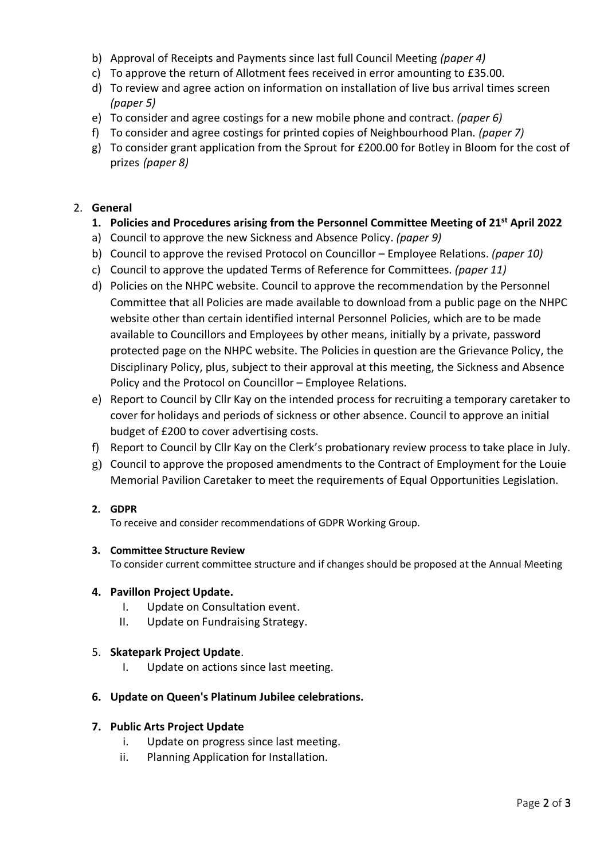- b) Approval of Receipts and Payments since last full Council Meeting *(paper 4)*
- c) To approve the return of Allotment fees received in error amounting to £35.00.
- d) To review and agree action on information on installation of live bus arrival times screen *(paper 5)*
- e) To consider and agree costings for a new mobile phone and contract. *(paper 6)*
- f) To consider and agree costings for printed copies of Neighbourhood Plan. *(paper 7)*
- g) To consider grant application from the Sprout for £200.00 for Botley in Bloom for the cost of prizes *(paper 8)*

### 2. **General**

### **1. Policies and Procedures arising from the Personnel Committee Meeting of 21st April 2022**

- a) Council to approve the new Sickness and Absence Policy. *(paper 9)*
- b) Council to approve the revised Protocol on Councillor Employee Relations. *(paper 10)*
- c) Council to approve the updated Terms of Reference for Committees. *(paper 11)*
- d) Policies on the NHPC website. Council to approve the recommendation by the Personnel Committee that all Policies are made available to download from a public page on the NHPC website other than certain identified internal Personnel Policies, which are to be made available to Councillors and Employees by other means, initially by a private, password protected page on the NHPC website. The Policies in question are the Grievance Policy, the Disciplinary Policy, plus, subject to their approval at this meeting, the Sickness and Absence Policy and the Protocol on Councillor – Employee Relations.
- e) Report to Council by Cllr Kay on the intended process for recruiting a temporary caretaker to cover for holidays and periods of sickness or other absence. Council to approve an initial budget of £200 to cover advertising costs.
- f) Report to Council by Cllr Kay on the Clerk's probationary review process to take place in July.
- g) Council to approve the proposed amendments to the Contract of Employment for the Louie Memorial Pavilion Caretaker to meet the requirements of Equal Opportunities Legislation.

#### **2. GDPR**

To receive and consider recommendations of GDPR Working Group.

#### **3. Committee Structure Review**

To consider current committee structure and if changes should be proposed at the Annual Meeting

#### **4. Pavillon Project Update.**

- I. Update on Consultation event.
- II. Update on Fundraising Strategy.

#### 5. **Skatepark Project Update**.

I. Update on actions since last meeting.

# **6. Update on Queen's Platinum Jubilee celebrations.**

#### **7. Public Arts Project Update**

- i. Update on progress since last meeting.
- ii. Planning Application for Installation.